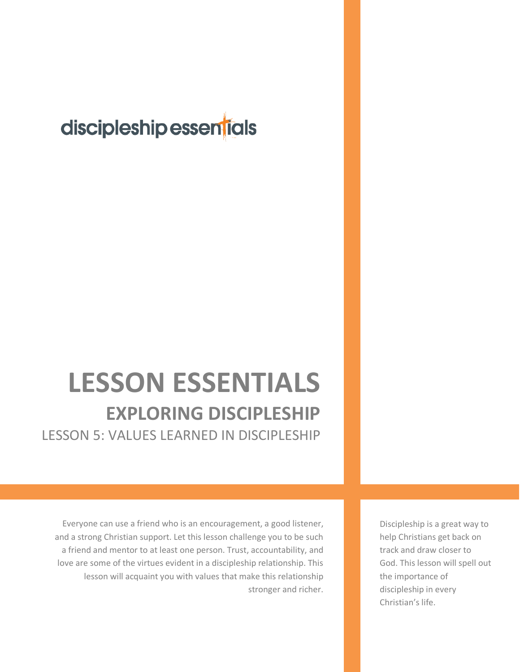## discipleship essentials

## **LESSON ESSENTIALS EXPLORING DISCIPLESHIP** LESSON 5: VALUES LEARNED IN DISCIPLESHIP

Everyone can use a friend who is an encouragement, a good listener, and a strong Christian support. Let this lesson challenge you to be such a friend and mentor to at least one person. Trust, accountability, and love are some of the virtues evident in a discipleship relationship. This lesson will acquaint you with values that make this relationship stronger and richer. Discipleship is a great way to help Christians get back on track and draw closer to God. This lesson will spell out the importance of discipleship in every Christian's life.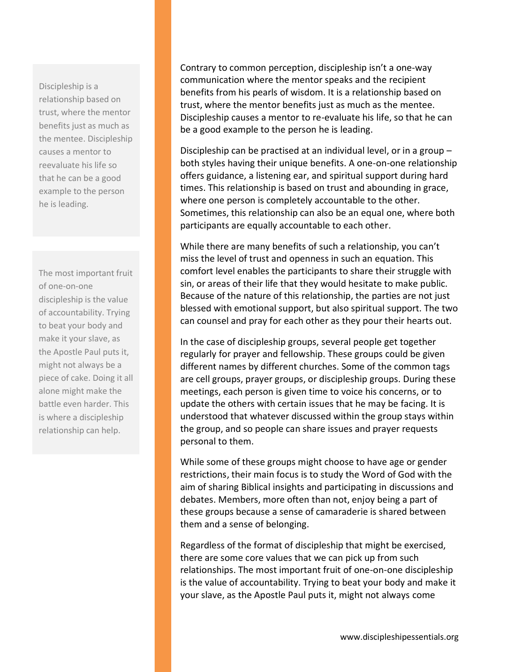Discipleship is a relationship based on trust, where the mentor benefits just as much as the mentee. Discipleship causes a mentor to reevaluate his life so that he can be a good example to the person he is leading.

The most important fruit of one-on-one discipleship is the value of accountability. Trying to beat your body and make it your slave, as the Apostle Paul puts it, might not always be a piece of cake. Doing it all alone might make the battle even harder. This is where a discipleship relationship can help.

Contrary to common perception, discipleship isn't a one-way communication where the mentor speaks and the recipient benefits from his pearls of wisdom. It is a relationship based on trust, where the mentor benefits just as much as the mentee. Discipleship causes a mentor to re-evaluate his life, so that he can be a good example to the person he is leading.

Discipleship can be practised at an individual level, or in a group – both styles having their unique benefits. A one-on-one relationship offers guidance, a listening ear, and spiritual support during hard times. This relationship is based on trust and abounding in grace, where one person is completely accountable to the other. Sometimes, this relationship can also be an equal one, where both participants are equally accountable to each other.

While there are many benefits of such a relationship, you can't miss the level of trust and openness in such an equation. This comfort level enables the participants to share their struggle with sin, or areas of their life that they would hesitate to make public. Because of the nature of this relationship, the parties are not just blessed with emotional support, but also spiritual support. The two can counsel and pray for each other as they pour their hearts out.

In the case of discipleship groups, several people get together regularly for prayer and fellowship. These groups could be given different names by different churches. Some of the common tags are cell groups, prayer groups, or discipleship groups. During these meetings, each person is given time to voice his concerns, or to update the others with certain issues that he may be facing. It is understood that whatever discussed within the group stays within the group, and so people can share issues and prayer requests personal to them.

While some of these groups might choose to have age or gender restrictions, their main focus is to study the Word of God with the aim of sharing Biblical insights and participating in discussions and debates. Members, more often than not, enjoy being a part of these groups because a sense of camaraderie is shared between them and a sense of belonging.

Regardless of the format of discipleship that might be exercised, there are some core values that we can pick up from such relationships. The most important fruit of one-on-one discipleship is the value of accountability. Trying to beat your body and make it your slave, as the Apostle Paul puts it, might not always come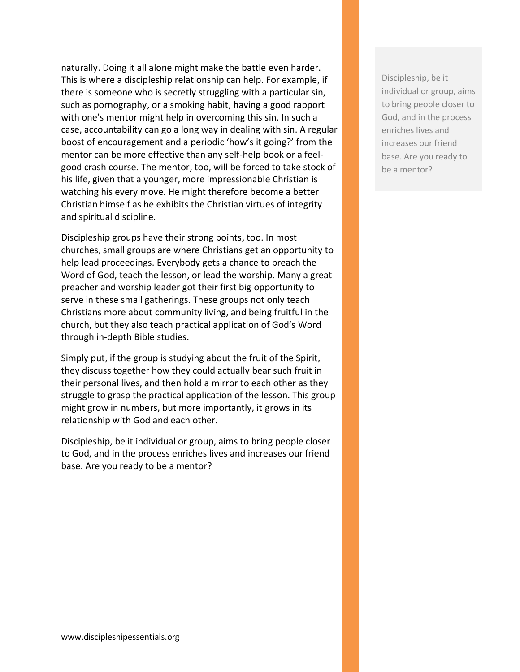naturally. Doing it all alone might make the battle even harder. This is where a discipleship relationship can help. For example, if there is someone who is secretly struggling with a particular sin, such as pornography, or a smoking habit, having a good rapport with one's mentor might help in overcoming this sin. In such a case, accountability can go a long way in dealing with sin. A regular boost of encouragement and a periodic 'how's it going?' from the mentor can be more effective than any self-help book or a feelgood crash course. The mentor, too, will be forced to take stock of his life, given that a younger, more impressionable Christian is watching his every move. He might therefore become a better Christian himself as he exhibits the Christian virtues of integrity and spiritual discipline.

Discipleship groups have their strong points, too. In most churches, small groups are where Christians get an opportunity to help lead proceedings. Everybody gets a chance to preach the Word of God, teach the lesson, or lead the worship. Many a great preacher and worship leader got their first big opportunity to serve in these small gatherings. These groups not only teach Christians more about community living, and being fruitful in the church, but they also teach practical application of God's Word through in-depth Bible studies.

Simply put, if the group is studying about the fruit of the Spirit, they discuss together how they could actually bear such fruit in their personal lives, and then hold a mirror to each other as they struggle to grasp the practical application of the lesson. This group might grow in numbers, but more importantly, it grows in its relationship with God and each other.

Discipleship, be it individual or group, aims to bring people closer to God, and in the process enriches lives and increases our friend base. Are you ready to be a mentor?

Discipleship, be it individual or group, aims to bring people closer to God, and in the process enriches lives and increases our friend base. Are you ready to be a mentor?